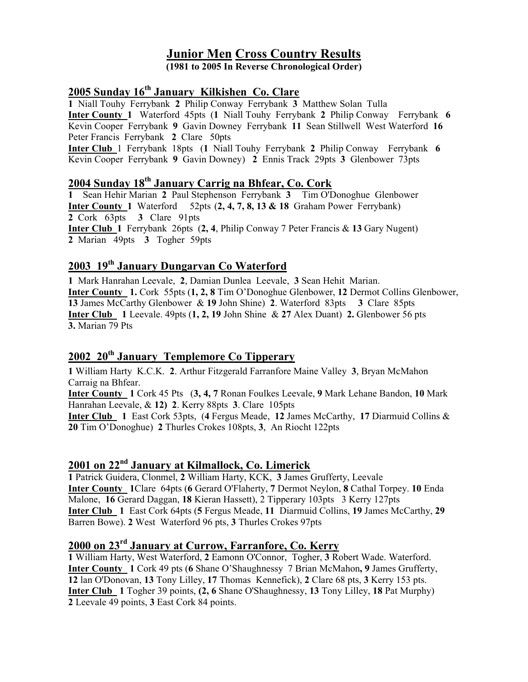# Junior Men Cross Country Results

(1981 to 2005 In Reverse Chronological Order)

# 2005 Sunday 16<sup>th</sup> January Kilkishen Co. Clare

1 Niall Touhy Ferrybank 2 Philip Conway Ferrybank 3 Matthew Solan Tulla Inter County 1 Waterford 45pts (1 Niall Touhy Ferrybank 2 Philip Conway Ferrybank 6 Kevin Cooper Ferrybank 9 Gavin Downey Ferrybank 11 Sean Stillwell West Waterford 16 Peter Francis Ferrybank 2 Clare 50pts

Inter Club 1 Ferrybank 18pts (1 Niall Touhy Ferrybank 2 Philip Conway Ferrybank 6 Kevin Cooper Ferrybank 9 Gavin Downey) 2 Ennis Track 29pts 3 Glenbower 73pts

# 2004 Sunday 18th January Carrig na Bhfear, Co. Cork

1 Sean Hehir Marian 2 Paul Stephenson Ferrybank 3 Tim O'Donoghue Glenbower Inter County 1 Waterford 52pts (2, 4, 7, 8, 13 & 18 Graham Power Ferrybank) 2 Cork 63pts 3 Clare 91pts Inter Club 1 Ferrybank 26pts (2, 4, Philip Conway 7 Peter Francis & 13 Gary Nugent) 2 Marian 49pts 3 Togher 59pts

# 2003 19th January Dungarvan Co Waterford

1 Mark Hanrahan Leevale, 2, Damian Dunlea Leevale, 3 Sean Hehit Marian. Inter County 1. Cork 55pts (1, 2, 8 Tim O'Donoghue Glenbower, 12 Dermot Collins Glenbower, 13 James McCarthy Glenbower & 19 John Shine) 2. Waterford 83pts 3 Clare 85pts **Inter Club** 1 Leevale. 49pts  $(1, 2, 19)$  John Shine & 27 Alex Duant) 2. Glenbower 56 pts 3. Marian 79 Pts

# 2002 20<sup>th</sup> January Templemore Co Tipperary

1 William Harty K.C.K. 2. Arthur Fitzgerald Farranfore Maine Valley 3, Bryan McMahon Carraig na Bhfear.

Inter County 1 Cork 45 Pts (3, 4, 7 Ronan Foulkes Leevale, 9 Mark Lehane Bandon, 10 Mark Hanrahan Leevale, & 12) 2. Kerry 88pts 3. Clare 105pts

Inter Club 1 East Cork 53pts, (4 Fergus Meade, 12 James McCarthy, 17 Diarmuid Collins & 20 Tim O'Donoghue) 2 Thurles Crokes 108pts, 3, An Riocht 122pts

# 2001 on 22<sup>nd</sup> January at Kilmallock, Co. Limerick

1 Patrick Guidera, Clonmel, 2 William Harty, KCK, 3 James Grufferty, Leevale Inter County 1Clare 64pts (6 Gerard O'Flaherty, 7 Dermot Neylon, 8 Cathal Torpey. 10 Enda Malone, 16 Gerard Daggan, 18 Kieran Hassett), 2 Tipperary 103pts 3 Kerry 127pts Inter Club 1 East Cork 64pts (5 Fergus Meade, 11 Diarmuid Collins, 19 James McCarthy, 29 Barren Bowe). 2 West Waterford 96 pts, 3 Thurles Crokes 97pts

# 2000 on 23rd January at Currow, Farranfore, Co. Kerry

1 William Harty, West Waterford, 2 Eamonn O'Connor, Togher, 3 Robert Wade. Waterford. Inter County 1 Cork 49 pts (6 Shane O'Shaughnessy 7 Brian McMahon, 9 James Grufferty, 12 lan O'Donovan, 13 Tony Lilley, 17 Thomas Kennefick), 2 Clare 68 pts, 3 Kerry 153 pts. Inter Club 1 Togher 39 points, (2, 6 Shane O'Shaughnessy, 13 Tony Lilley, 18 Pat Murphy) 2 Leevale 49 points, 3 East Cork 84 points.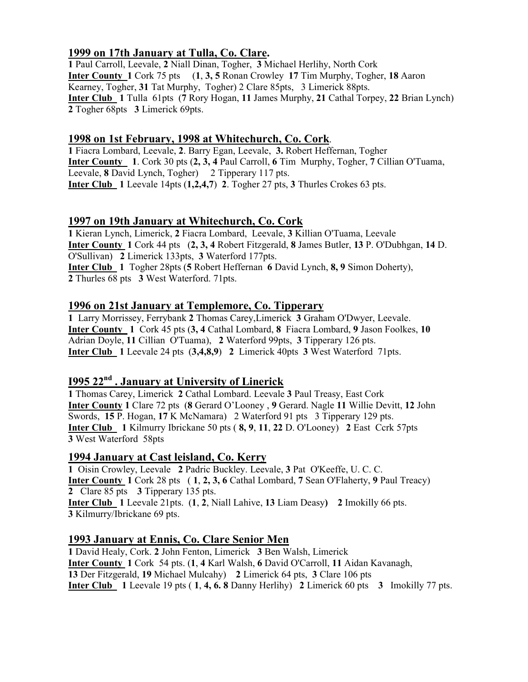# 1999 on 17th January at Tulla, Co. Clare.

1 Paul Carroll, Leevale, 2 Niall Dinan, Togher, 3 Michael Herlihy, North Cork Inter County 1 Cork 75 pts (1, 3, 5 Ronan Crowley 17 Tim Murphy, Togher, 18 Aaron Kearney, Togher, 31 Tat Murphy, Togher) 2 Clare 85pts, 3 Limerick 88pts. Inter Club 1 Tulla 61pts (7 Rory Hogan, 11 James Murphy, 21 Cathal Torpey, 22 Brian Lynch) 2 Togher 68pts 3 Limerick 69pts.

## 1998 on 1st February, 1998 at Whitechurch, Co. Cork.

1 Fiacra Lombard, Leevale, 2. Barry Egan, Leevale, 3. Robert Heffernan, Togher Inter County 1. Cork 30 pts (2, 3, 4 Paul Carroll, 6 Tim Murphy, Togher, 7 Cillian O'Tuama, Leevale, 8 David Lynch, Togher) 2 Tipperary 117 pts. Inter Club 1 Leevale 14pts (1,2,4,7) 2. Togher 27 pts, 3 Thurles Crokes 63 pts.

## 1997 on 19th January at Whitechurch, Co. Cork

1 Kieran Lynch, Limerick, 2 Fiacra Lombard, Leevale, 3 Killian O'Tuama, Leevale Inter County 1 Cork 44 pts (2, 3, 4 Robert Fitzgerald, 8 James Butler, 13 P. O'Dubhgan, 14 D. O'Sullivan) 2 Limerick 133pts, 3 Waterford 177pts. Inter Club 1 Togher 28pts (5 Robert Heffernan 6 David Lynch, 8, 9 Simon Doherty), 2 Thurles 68 pts 3 West Waterford. 71pts.

#### 1996 on 21st January at Templemore, Co. Tipperary

1 Larry Morrissey, Ferrybank 2 Thomas Carey,Limerick 3 Graham O'Dwyer, Leevale. Inter County 1 Cork 45 pts (3, 4 Cathal Lombard, 8 Fiacra Lombard, 9 Jason Foolkes, 10 Adrian Doyle, 11 Cillian O'Tuama), 2 Waterford 99pts, 3 Tipperary 126 pts. Inter Club 1 Leevale 24 pts (3,4,8,9) 2 Limerick 40pts 3 West Waterford 71pts.

## 1995 22<sup>nd</sup> . January at University of Linerick

1 Thomas Carey, Limerick 2 Cathal Lombard. Leevale 3 Paul Treasy, East Cork Inter County 1 Clare 72 pts (8 Gerard O'Looney , 9 Gerard. Nagle 11 Willie Devitt, 12 John Swords, 15 P. Hogan, 17 K McNamara) 2 Waterford 91 pts 3 Tipperary 129 pts. Inter Club 1 Kilmurry Ibrickane 50 pts ( 8, 9, 11, 22 D. O'Looney) 2 East Ccrk 57pts 3 West Waterford 58pts

#### 1994 January at Cast leisland, Co. Kerry

1 Oisin Crowley, Leevale 2 Padric Buckley. Leevale, 3 Pat O'Keeffe, U. C. C. Inter County 1 Cork 28 pts ( 1, 2, 3, 6 Cathal Lombard, 7 Sean O'Flaherty, 9 Paul Treacy) 2 Clare 85 pts 3 Tipperary 135 pts. Inter Club 1 Leevale 21pts. (1, 2, Niall Lahive, 13 Liam Deasy) 2 Imokilly 66 pts. 3 Kilmurry/Ibrickane 69 pts.

#### 1993 January at Ennis, Co. Clare Senior Men

1 David Healy, Cork. 2 John Fenton, Limerick 3 Ben Walsh, Limerick Inter County 1 Cork 54 pts. (1, 4 Karl Walsh, 6 David O'Carroll, 11 Aidan Kavanagh, 13 Der Fitzgerald, 19 Michael Mulcahy) 2 Limerick 64 pts, 3 Clare 106 pts Inter Club 1 Leevale 19 pts ( 1, 4, 6. 8 Danny Herlihy) 2 Limerick 60 pts 3 Imokilly 77 pts.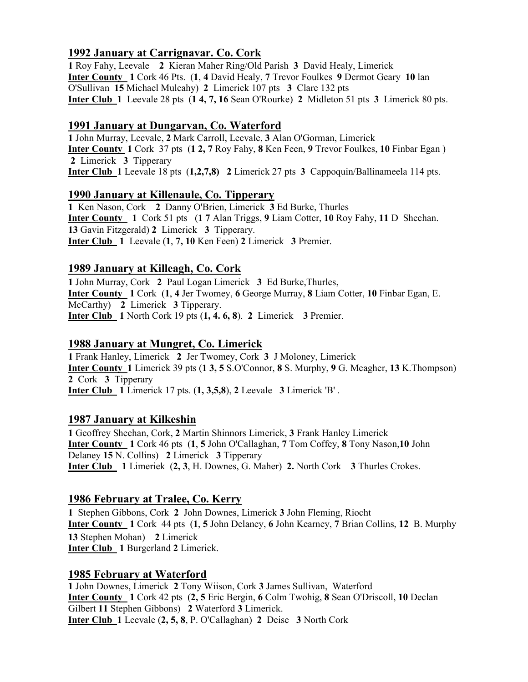## 1992 January at Carrignavar. Co. Cork

1 Roy Fahy, Leevale 2 Kieran Maher Ring/Old Parish 3 David Healy, Limerick Inter County 1 Cork 46 Pts. (1, 4 David Healy, 7 Trevor Foulkes 9 Dermot Geary 10 lan O'Sullivan 15 Michael Mulcahy) 2 Limerick 107 pts 3 Clare 132 pts Inter Club 1 Leevale 28 pts (1 4, 7, 16 Sean O'Rourke) 2 Midleton 51 pts 3 Limerick 80 pts.

### 1991 January at Dungarvan, Co. Waterford

1 John Murray, Leevale, 2 Mark Carroll, Leevale, 3 Alan O'Gorman, Limerick Inter County 1 Cork 37 pts (1 2, 7 Roy Fahy, 8 Ken Feen, 9 Trevor Foulkes, 10 Finbar Egan ) 2 Limerick 3 Tipperary Inter Club 1 Leevale 18 pts (1,2,7,8) 2 Limerick 27 pts 3 Cappoquin/Ballinameela 114 pts.

## 1990 January at Killenaule, Co. Tipperary

1 Ken Nason, Cork 2 Danny O'Brien, Limerick 3 Ed Burke, Thurles Inter County 1 Cork 51 pts (1 7 Alan Triggs, 9 Liam Cotter, 10 Roy Fahy, 11 D Sheehan. 13 Gavin Fitzgerald) 2 Limerick 3 Tipperary. Inter Club 1 Leevale (1, 7, 10 Ken Feen) 2 Limerick 3 Premier.

# 1989 January at Killeagh, Co. Cork

1 John Murray, Cork 2 Paul Logan Limerick 3 Ed Burke,Thurles, Inter County 1 Cork (1, 4 Jer Twomey, 6 George Murray, 8 Liam Cotter, 10 Finbar Egan, E. McCarthy) 2 Limerick 3 Tipperary. Inter Club 1 North Cork 19 pts (1, 4. 6, 8). 2 Limerick 3 Premier.

### 1988 January at Mungret, Co. Limerick

1 Frank Hanley, Limerick 2 Jer Twomey, Cork 3 J Moloney, Limerick Inter County 1 Limerick 39 pts (1 3, 5 S.O'Connor, 8 S. Murphy, 9 G. Meagher, 13 K.Thompson) 2 Cork 3 Tipperary Inter Club 1 Limerick 17 pts. (1, 3,5,8), 2 Leevale 3 Limerick 'B' .

#### 1987 January at Kilkeshin

1 Geoffrey Sheehan, Cork, 2 Martin Shinnors Limerick, 3 Frank Hanley Limerick Inter County 1 Cork 46 pts (1, 5 John O'Callaghan, 7 Tom Coffey, 8 Tony Nason,10 John Delaney 15 N. Collins) 2 Limerick 3 Tipperary Inter Club 1 Limeriek (2, 3, H. Downes, G. Maher) 2. North Cork 3 Thurles Crokes.

# 1986 February at Tralee, Co. Kerry

1 Stephen Gibbons, Cork 2 John Downes, Limerick 3 John Fleming, Riocht Inter County 1 Cork 44 pts (1, 5 John Delaney, 6 John Kearney, 7 Brian Collins, 12 B. Murphy 13 Stephen Mohan) 2 Limerick Inter Club 1 Burgerland 2 Limerick.

#### 1985 February at Waterford

1 John Downes, Limerick 2 Tony Wiison, Cork 3 James Sullivan, Waterford Inter County 1 Cork 42 pts (2, 5 Eric Bergin, 6 Colm Twohig, 8 Sean O'Driscoll, 10 Declan Gilbert 11 Stephen Gibbons) 2 Waterford 3 Limerick. Inter Club 1 Leevale (2, 5, 8, P. O'Callaghan) 2 Deise 3 North Cork